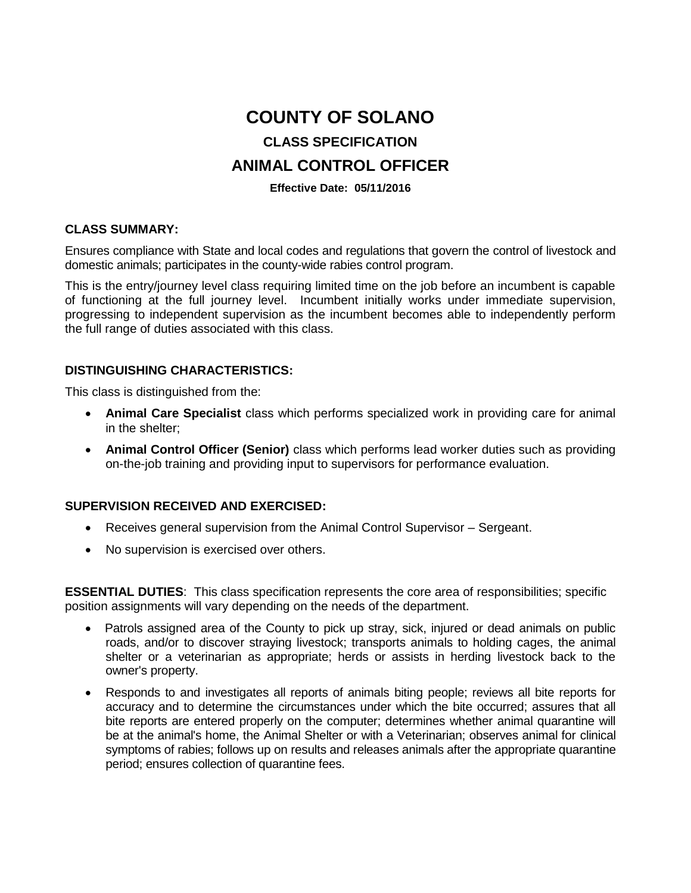# **COUNTY OF SOLANO**

# **CLASS SPECIFICATION**

# **ANIMAL CONTROL OFFICER**

#### **Effective Date: 05/11/2016**

#### **CLASS SUMMARY:**

Ensures compliance with State and local codes and regulations that govern the control of livestock and domestic animals; participates in the county-wide rabies control program.

This is the entry/journey level class requiring limited time on the job before an incumbent is capable of functioning at the full journey level. Incumbent initially works under immediate supervision, progressing to independent supervision as the incumbent becomes able to independently perform the full range of duties associated with this class.

#### **DISTINGUISHING CHARACTERISTICS:**

This class is distinguished from the:

- **Animal Care Specialist** class which performs specialized work in providing care for animal in the shelter;
- **Animal Control Officer (Senior)** class which performs lead worker duties such as providing on-the-job training and providing input to supervisors for performance evaluation.

#### **SUPERVISION RECEIVED AND EXERCISED:**

- Receives general supervision from the Animal Control Supervisor Sergeant.
- No supervision is exercised over others.

**ESSENTIAL DUTIES**: This class specification represents the core area of responsibilities; specific position assignments will vary depending on the needs of the department.

- Patrols assigned area of the County to pick up stray, sick, injured or dead animals on public roads, and/or to discover straying livestock; transports animals to holding cages, the animal shelter or a veterinarian as appropriate; herds or assists in herding livestock back to the owner's property.
- Responds to and investigates all reports of animals biting people; reviews all bite reports for accuracy and to determine the circumstances under which the bite occurred; assures that all bite reports are entered properly on the computer; determines whether animal quarantine will be at the animal's home, the Animal Shelter or with a Veterinarian; observes animal for clinical symptoms of rabies; follows up on results and releases animals after the appropriate quarantine period; ensures collection of quarantine fees.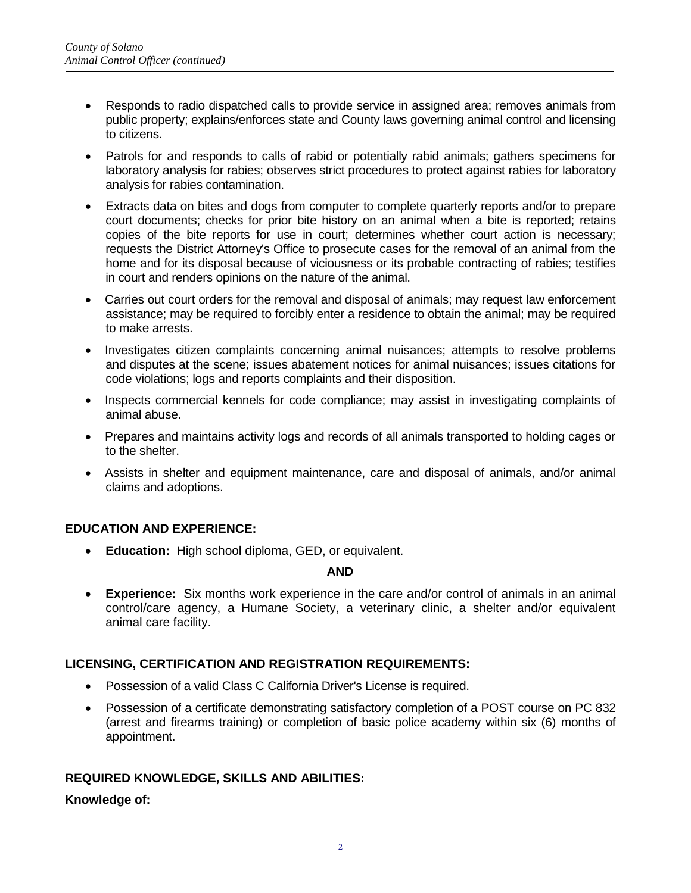- Responds to radio dispatched calls to provide service in assigned area; removes animals from public property; explains/enforces state and County laws governing animal control and licensing to citizens.
- Patrols for and responds to calls of rabid or potentially rabid animals; gathers specimens for laboratory analysis for rabies; observes strict procedures to protect against rabies for laboratory analysis for rabies contamination.
- Extracts data on bites and dogs from computer to complete quarterly reports and/or to prepare court documents; checks for prior bite history on an animal when a bite is reported; retains copies of the bite reports for use in court; determines whether court action is necessary; requests the District Attorney's Office to prosecute cases for the removal of an animal from the home and for its disposal because of viciousness or its probable contracting of rabies; testifies in court and renders opinions on the nature of the animal.
- Carries out court orders for the removal and disposal of animals; may request law enforcement assistance; may be required to forcibly enter a residence to obtain the animal; may be required to make arrests.
- Investigates citizen complaints concerning animal nuisances; attempts to resolve problems and disputes at the scene; issues abatement notices for animal nuisances; issues citations for code violations; logs and reports complaints and their disposition.
- Inspects commercial kennels for code compliance; may assist in investigating complaints of animal abuse.
- Prepares and maintains activity logs and records of all animals transported to holding cages or to the shelter.
- Assists in shelter and equipment maintenance, care and disposal of animals, and/or animal claims and adoptions.

#### **EDUCATION AND EXPERIENCE:**

**Education:** High school diploma, GED, or equivalent.

#### **AND**

 **Experience:** Six months work experience in the care and/or control of animals in an animal control/care agency, a Humane Society, a veterinary clinic, a shelter and/or equivalent animal care facility.

#### **LICENSING, CERTIFICATION AND REGISTRATION REQUIREMENTS:**

- Possession of a valid Class C California Driver's License is required.
- Possession of a certificate demonstrating satisfactory completion of a POST course on PC 832 (arrest and firearms training) or completion of basic police academy within six (6) months of appointment.

#### **REQUIRED KNOWLEDGE, SKILLS AND ABILITIES:**

#### **Knowledge of:**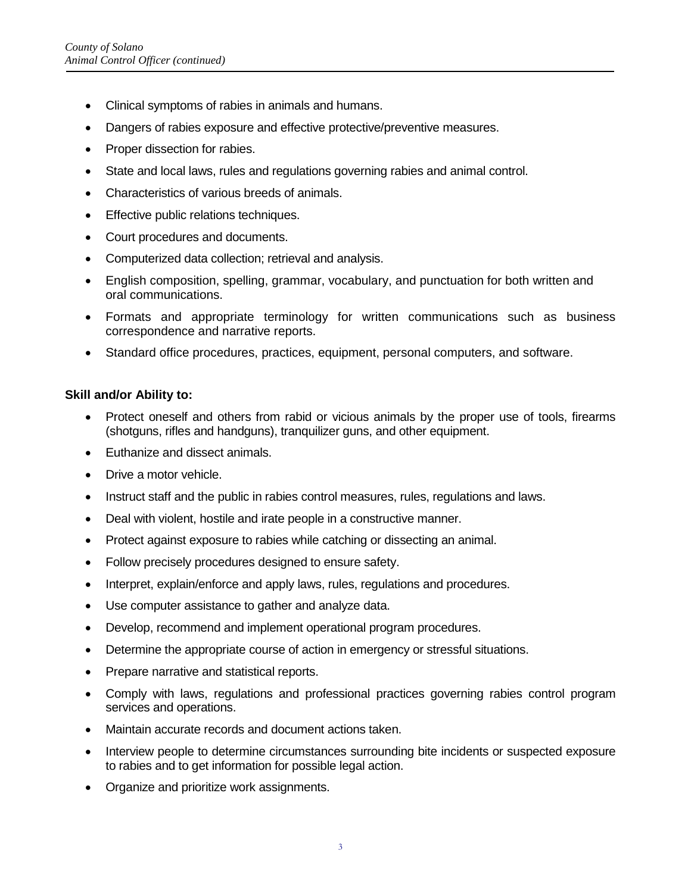- Clinical symptoms of rabies in animals and humans.
- Dangers of rabies exposure and effective protective/preventive measures.
- Proper dissection for rabies.
- State and local laws, rules and regulations governing rabies and animal control.
- Characteristics of various breeds of animals.
- **Effective public relations techniques.**
- Court procedures and documents.
- Computerized data collection; retrieval and analysis.
- English composition, spelling, grammar, vocabulary, and punctuation for both written and oral communications.
- Formats and appropriate terminology for written communications such as business correspondence and narrative reports.
- Standard office procedures, practices, equipment, personal computers, and software.

### **Skill and/or Ability to:**

- Protect oneself and others from rabid or vicious animals by the proper use of tools, firearms (shotguns, rifles and handguns), tranquilizer guns, and other equipment.
- Euthanize and dissect animals.
- Drive a motor vehicle.
- Instruct staff and the public in rabies control measures, rules, regulations and laws.
- Deal with violent, hostile and irate people in a constructive manner.
- Protect against exposure to rabies while catching or dissecting an animal.
- Follow precisely procedures designed to ensure safety.
- Interpret, explain/enforce and apply laws, rules, regulations and procedures.
- Use computer assistance to gather and analyze data.
- Develop, recommend and implement operational program procedures.
- Determine the appropriate course of action in emergency or stressful situations.
- Prepare narrative and statistical reports.
- Comply with laws, regulations and professional practices governing rabies control program services and operations.
- Maintain accurate records and document actions taken.
- Interview people to determine circumstances surrounding bite incidents or suspected exposure to rabies and to get information for possible legal action.
- Organize and prioritize work assignments.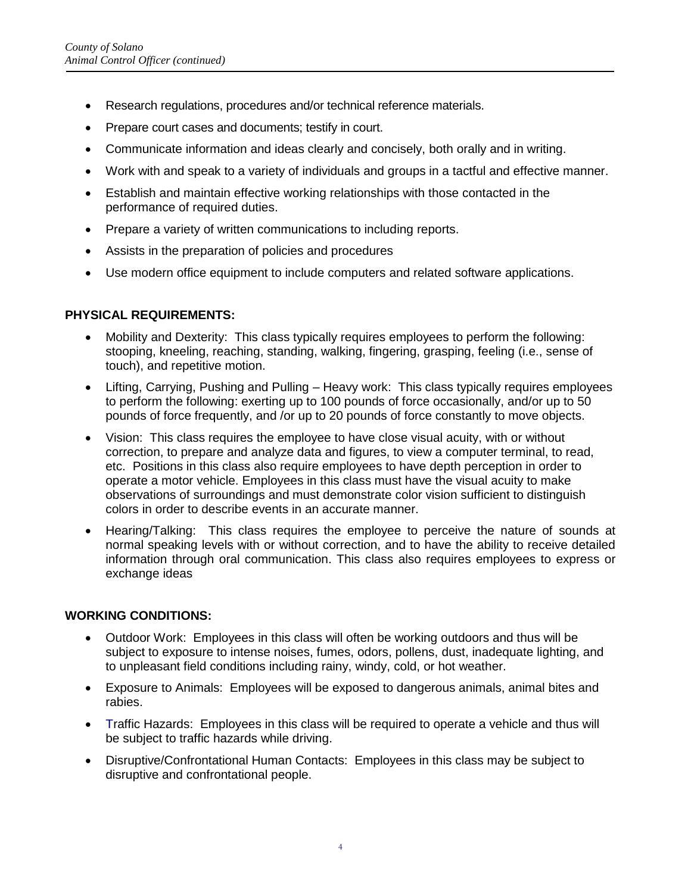- Research regulations, procedures and/or technical reference materials.
- Prepare court cases and documents; testify in court.
- Communicate information and ideas clearly and concisely, both orally and in writing.
- Work with and speak to a variety of individuals and groups in a tactful and effective manner.
- Establish and maintain effective working relationships with those contacted in the performance of required duties.
- Prepare a variety of written communications to including reports.
- Assists in the preparation of policies and procedures
- Use modern office equipment to include computers and related software applications.

### **PHYSICAL REQUIREMENTS:**

- Mobility and Dexterity: This class typically requires employees to perform the following: stooping, kneeling, reaching, standing, walking, fingering, grasping, feeling (i.e., sense of touch), and repetitive motion.
- Lifting, Carrying, Pushing and Pulling Heavy work: This class typically requires employees to perform the following: exerting up to 100 pounds of force occasionally, and/or up to 50 pounds of force frequently, and /or up to 20 pounds of force constantly to move objects.
- Vision: This class requires the employee to have close visual acuity, with or without correction, to prepare and analyze data and figures, to view a computer terminal, to read, etc. Positions in this class also require employees to have depth perception in order to operate a motor vehicle. Employees in this class must have the visual acuity to make observations of surroundings and must demonstrate color vision sufficient to distinguish colors in order to describe events in an accurate manner.
- Hearing/Talking: This class requires the employee to perceive the nature of sounds at normal speaking levels with or without correction, and to have the ability to receive detailed information through oral communication. This class also requires employees to express or exchange ideas

#### **WORKING CONDITIONS:**

- Outdoor Work: Employees in this class will often be working outdoors and thus will be subject to exposure to intense noises, fumes, odors, pollens, dust, inadequate lighting, and to unpleasant field conditions including rainy, windy, cold, or hot weather.
- Exposure to Animals: Employees will be exposed to dangerous animals, animal bites and rabies.
- Traffic Hazards: Employees in this class will be required to operate a vehicle and thus will be subject to traffic hazards while driving.
- Disruptive/Confrontational Human Contacts: Employees in this class may be subject to disruptive and confrontational people.